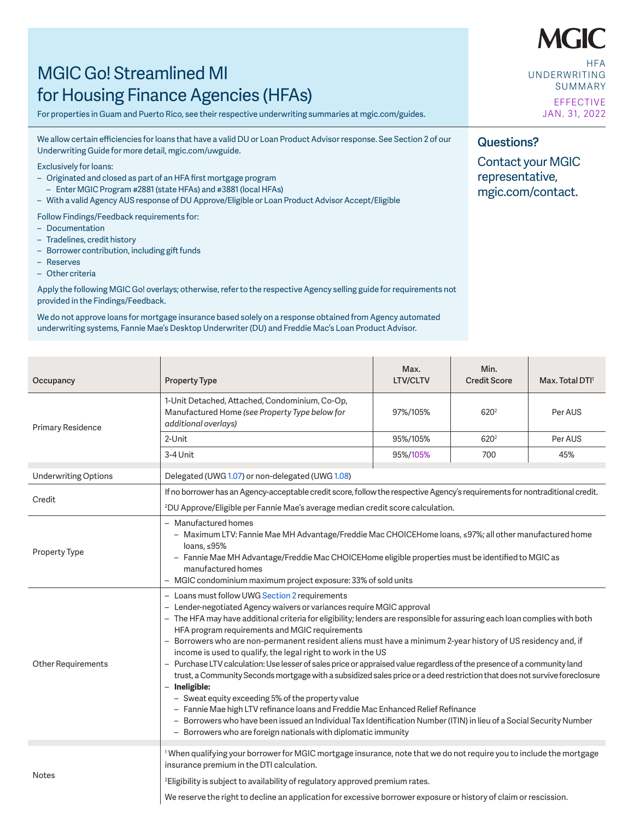# MGIC Go! Streamlined MI for Housing Finance Agencies (HFAs)  $\frac{1}{2}$ i indirc $\frac{1}{2}$

For properties in Guam and Puerto Rico, see their respective underwriting summaries at mgic.com/guides.

We allow certain efficiencies for loans that have a valid DU or Loan Product Advisor response. See Section 2 of our Underwriting Guide for more detail, mgic.com/uwguide.

Exclusively for loans:

- $\sim$  Originated and closed as part of an HFA first mortgage program
	- Enter MGIC Program #2881 (state HFAs) and #3881 (local HFAs)
- With a valid Agency AUS response of DU Approve/Eligible or Loan Product Advisor Accept/Eligible

Follow Findings/Feedback requirements for: – Originated and closed as part of an HFA fi rst mortgage program

- Documentation
- Tradelines, credit history
- Borrower contribution, including gift funds
- Reserves
- Other criteria

Apply the following MGIC Go! overlays; otherwise, refer to the respective Agency selling guide for requirements not provided in the Findings/Feedback.  $\epsilon$ dback.  $\epsilon$  overlays; otherwise, refer to the respective Agency selling guide for respective  $\epsilon$ 

We do not approve loans for mortgage insurance based solely on a response obtained from Agency automated underwriting systems, Fannie Mae's Desktop Underwriter (DU) and Freddie Mac's Loan Product Advisor.<br>.

| Occupancy                   | <b>Property Type</b>                                                                                                                                                                                                                                                                                                                                                                                                                                                                                                                                                                                                                                                                                                                                                                                                                                                                                                                                                                                                                                                                             | Max.<br><b>LTV/CLTV</b> | Min.<br><b>Credit Score</b> | Max. Total DTI <sup>1</sup> |  |
|-----------------------------|--------------------------------------------------------------------------------------------------------------------------------------------------------------------------------------------------------------------------------------------------------------------------------------------------------------------------------------------------------------------------------------------------------------------------------------------------------------------------------------------------------------------------------------------------------------------------------------------------------------------------------------------------------------------------------------------------------------------------------------------------------------------------------------------------------------------------------------------------------------------------------------------------------------------------------------------------------------------------------------------------------------------------------------------------------------------------------------------------|-------------------------|-----------------------------|-----------------------------|--|
| Primary Residence           | 1-Unit Detached, Attached, Condominium, Co-Op,<br>Manufactured Home (see Property Type below for<br>additional overlays)                                                                                                                                                                                                                                                                                                                                                                                                                                                                                                                                                                                                                                                                                                                                                                                                                                                                                                                                                                         | 97%/105%                | 620 <sup>2</sup>            | Per AUS                     |  |
|                             | 2-Unit                                                                                                                                                                                                                                                                                                                                                                                                                                                                                                                                                                                                                                                                                                                                                                                                                                                                                                                                                                                                                                                                                           | 95%/105%                | 620 <sup>2</sup>            | Per AUS                     |  |
|                             | 3-4 Unit                                                                                                                                                                                                                                                                                                                                                                                                                                                                                                                                                                                                                                                                                                                                                                                                                                                                                                                                                                                                                                                                                         | 95%/105%                | 700                         | 45%                         |  |
| <b>Underwriting Options</b> | Delegated (UWG 1.07) or non-delegated (UWG 1.08)                                                                                                                                                                                                                                                                                                                                                                                                                                                                                                                                                                                                                                                                                                                                                                                                                                                                                                                                                                                                                                                 |                         |                             |                             |  |
| Credit                      | If no borrower has an Agency-acceptable credit score, follow the respective Agency's requirements for nontraditional credit.<br><sup>2</sup> DU Approve/Eligible per Fannie Mae's average median credit score calculation.                                                                                                                                                                                                                                                                                                                                                                                                                                                                                                                                                                                                                                                                                                                                                                                                                                                                       |                         |                             |                             |  |
| <b>Property Type</b>        | - Manufactured homes<br>- Maximum LTV: Fannie Mae MH Advantage/Freddie Mac CHOICEHome loans, ≤97%; all other manufactured home<br>loans, $\leq 95\%$<br>- Fannie Mae MH Advantage/Freddie Mac CHOICEHome eligible properties must be identified to MGIC as<br>manufactured homes<br>- MGIC condominium maximum project exposure: 33% of sold units                                                                                                                                                                                                                                                                                                                                                                                                                                                                                                                                                                                                                                                                                                                                               |                         |                             |                             |  |
| <b>Other Requirements</b>   | - Loans must follow UWG Section 2 requirements<br>- Lender-negotiated Agency waivers or variances require MGIC approval<br>- The HFA may have additional criteria for eligibility; lenders are responsible for assuring each loan complies with both<br>HFA program requirements and MGIC requirements<br>- Borrowers who are non-permanent resident aliens must have a minimum 2-year history of US residency and, if<br>income is used to qualify, the legal right to work in the US<br>- Purchase LTV calculation: Use lesser of sales price or appraised value regardless of the presence of a community land<br>trust, a Community Seconds mortgage with a subsidized sales price or a deed restriction that does not survive foreclosure<br>- Ineligible:<br>- Sweat equity exceeding 5% of the property value<br>- Fannie Mae high LTV refinance loans and Freddie Mac Enhanced Relief Refinance<br>- Borrowers who have been issued an Individual Tax Identification Number (ITIN) in lieu of a Social Security Number<br>- Borrowers who are foreign nationals with diplomatic immunity |                         |                             |                             |  |
| Notes                       | <sup>1</sup> When qualifying your borrower for MGIC mortgage insurance, note that we do not require you to include the mortgage<br>insurance premium in the DTI calculation.<br><sup>2</sup> Eligibility is subject to availability of regulatory approved premium rates.<br>We reserve the right to decline an application for excessive borrower exposure or history of claim or rescission.                                                                                                                                                                                                                                                                                                                                                                                                                                                                                                                                                                                                                                                                                                   |                         |                             |                             |  |

**HFA** UNDERWRITING SUMMARY EFFECTIVE JAN. 31, 2022

## **Questions?**

Contact your MGIC representative, mgic.com/contact.